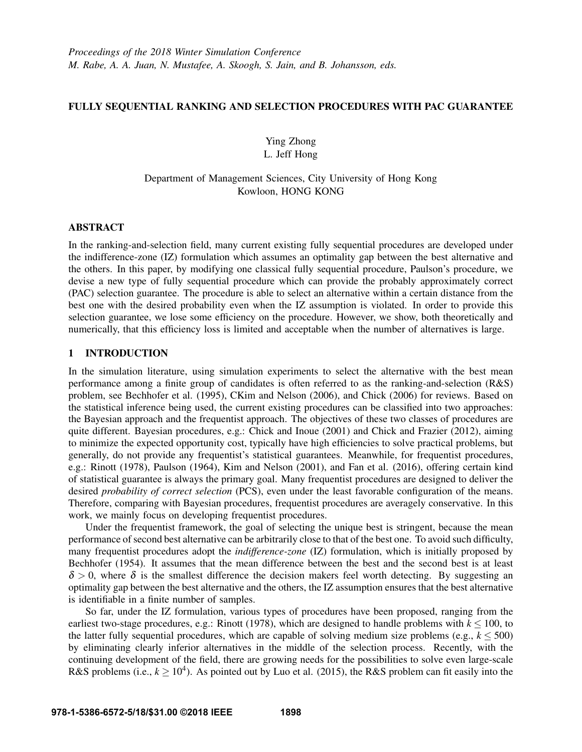## FULLY SEQUENTIAL RANKING AND SELECTION PROCEDURES WITH PAC GUARANTEE

Ying Zhong L. Jeff Hong

# Department of Management Sciences, City University of Hong Kong Kowloon, HONG KONG

### ABSTRACT

In the ranking-and-selection field, many current existing fully sequential procedures are developed under the indifference-zone (IZ) formulation which assumes an optimality gap between the best alternative and the others. In this paper, by modifying one classical fully sequential procedure, Paulson's procedure, we devise a new type of fully sequential procedure which can provide the probably approximately correct (PAC) selection guarantee. The procedure is able to select an alternative within a certain distance from the best one with the desired probability even when the IZ assumption is violated. In order to provide this selection guarantee, we lose some efficiency on the procedure. However, we show, both theoretically and numerically, that this efficiency loss is limited and acceptable when the number of alternatives is large.

## 1 INTRODUCTION

In the simulation literature, using simulation experiments to select the alternative with the best mean performance among a finite group of candidates is often referred to as the ranking-and-selection (R&S) problem, see Bechhofer et al. (1995), CKim and Nelson (2006), and Chick (2006) for reviews. Based on the statistical inference being used, the current existing procedures can be classified into two approaches: the Bayesian approach and the frequentist approach. The objectives of these two classes of procedures are quite different. Bayesian procedures, e.g.: Chick and Inoue (2001) and Chick and Frazier (2012), aiming to minimize the expected opportunity cost, typically have high efficiencies to solve practical problems, but generally, do not provide any frequentist's statistical guarantees. Meanwhile, for frequentist procedures, e.g.: Rinott (1978), Paulson (1964), Kim and Nelson (2001), and Fan et al. (2016), offering certain kind of statistical guarantee is always the primary goal. Many frequentist procedures are designed to deliver the desired *probability of correct selection* (PCS), even under the least favorable configuration of the means. Therefore, comparing with Bayesian procedures, frequentist procedures are averagely conservative. In this work, we mainly focus on developing frequentist procedures.

Under the frequentist framework, the goal of selecting the unique best is stringent, because the mean performance of second best alternative can be arbitrarily close to that of the best one. To avoid such difficulty, many frequentist procedures adopt the *indifference-zone* (IZ) formulation, which is initially proposed by Bechhofer (1954). It assumes that the mean difference between the best and the second best is at least  $\delta > 0$ , where  $\delta$  is the smallest difference the decision makers feel worth detecting. By suggesting an optimality gap between the best alternative and the others, the IZ assumption ensures that the best alternative is identifiable in a finite number of samples.

So far, under the IZ formulation, various types of procedures have been proposed, ranging from the earliest two-stage procedures, e.g.: Rinott (1978), which are designed to handle problems with  $k \le 100$ , to the latter fully sequential procedures, which are capable of solving medium size problems (e.g.,  $k \leq 500$ ) by eliminating clearly inferior alternatives in the middle of the selection process. Recently, with the continuing development of the field, there are growing needs for the possibilities to solve even large-scale R&S problems (i.e.,  $k \ge 10^4$ ). As pointed out by Luo et al. (2015), the R&S problem can fit easily into the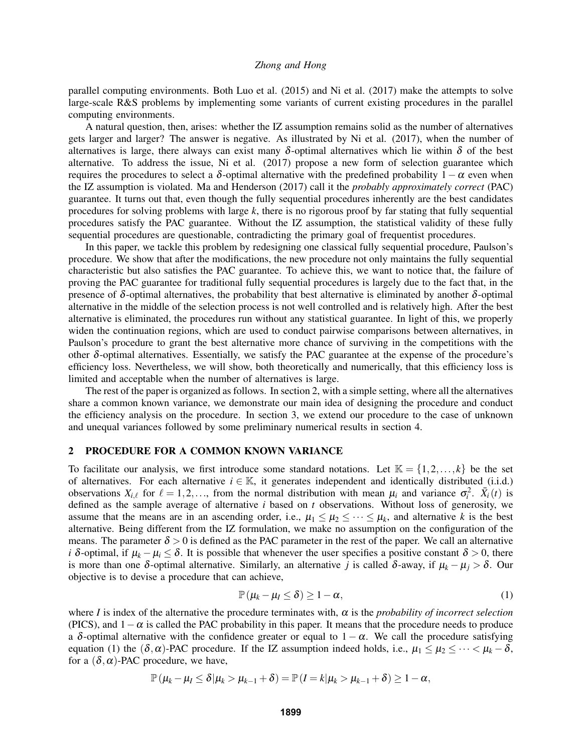parallel computing environments. Both Luo et al. (2015) and Ni et al. (2017) make the attempts to solve large-scale R&S problems by implementing some variants of current existing procedures in the parallel computing environments.

A natural question, then, arises: whether the IZ assumption remains solid as the number of alternatives gets larger and larger? The answer is negative. As illustrated by Ni et al. (2017), when the number of alternatives is large, there always can exist many  $\delta$ -optimal alternatives which lie within  $\delta$  of the best alternative. To address the issue, Ni et al. (2017) propose a new form of selection guarantee which requires the procedures to select a δ-optimal alternative with the predefined probability  $1-\alpha$  even when the IZ assumption is violated. Ma and Henderson (2017) call it the *probably approximately correct* (PAC) guarantee. It turns out that, even though the fully sequential procedures inherently are the best candidates procedures for solving problems with large *k*, there is no rigorous proof by far stating that fully sequential procedures satisfy the PAC guarantee. Without the IZ assumption, the statistical validity of these fully sequential procedures are questionable, contradicting the primary goal of frequentist procedures.

In this paper, we tackle this problem by redesigning one classical fully sequential procedure, Paulson's procedure. We show that after the modifications, the new procedure not only maintains the fully sequential characteristic but also satisfies the PAC guarantee. To achieve this, we want to notice that, the failure of proving the PAC guarantee for traditional fully sequential procedures is largely due to the fact that, in the presence of δ-optimal alternatives, the probability that best alternative is eliminated by another δ-optimal alternative in the middle of the selection process is not well controlled and is relatively high. After the best alternative is eliminated, the procedures run without any statistical guarantee. In light of this, we properly widen the continuation regions, which are used to conduct pairwise comparisons between alternatives, in Paulson's procedure to grant the best alternative more chance of surviving in the competitions with the other δ-optimal alternatives. Essentially, we satisfy the PAC guarantee at the expense of the procedure's efficiency loss. Nevertheless, we will show, both theoretically and numerically, that this efficiency loss is limited and acceptable when the number of alternatives is large.

The rest of the paper is organized as follows. In section 2, with a simple setting, where all the alternatives share a common known variance, we demonstrate our main idea of designing the procedure and conduct the efficiency analysis on the procedure. In section 3, we extend our procedure to the case of unknown and unequal variances followed by some preliminary numerical results in section 4.

### 2 PROCEDURE FOR A COMMON KNOWN VARIANCE

To facilitate our analysis, we first introduce some standard notations. Let  $\mathbb{K} = \{1, 2, ..., k\}$  be the set of alternatives. For each alternative  $i \in \mathbb{K}$ , it generates independent and identically distributed (i.i.d.) observations  $X_{i,\ell}$  for  $\ell = 1,2,...$ , from the normal distribution with mean  $\mu_i$  and variance  $\sigma_i^2$ .  $\bar{X}_i(t)$  is defined as the sample average of alternative *i* based on *t* observations. Without loss of generosity, we assume that the means are in an ascending order, i.e.,  $\mu_1 \leq \mu_2 \leq \cdots \leq \mu_k$ , and alternative *k* is the best alternative. Being different from the IZ formulation, we make no assumption on the configuration of the means. The parameter  $\delta > 0$  is defined as the PAC parameter in the rest of the paper. We call an alternative *i* δ-optimal, if  $\mu_k - \mu_i \leq \delta$ . It is possible that whenever the user specifies a positive constant  $\delta > 0$ , there is more than one δ-optimal alternative. Similarly, an alternative *j* is called δ-away, if µ*<sup>k</sup>* − µ*<sup>j</sup>* > δ. Our objective is to devise a procedure that can achieve,

$$
\mathbb{P}\left(\mu_k - \mu_l \leq \delta\right) \geq 1 - \alpha,\tag{1}
$$

where *I* is index of the alternative the procedure terminates with,  $\alpha$  is the *probability of incorrect selection* (PICS), and  $1-\alpha$  is called the PAC probability in this paper. It means that the procedure needs to produce a δ-optimal alternative with the confidence greater or equal to  $1 - \alpha$ . We call the procedure satisfying equation (1) the  $(\delta, \alpha)$ -PAC procedure. If the IZ assumption indeed holds, i.e.,  $\mu_1 \leq \mu_2 \leq \cdots < \mu_k - \delta$ , for a  $(\delta, \alpha)$ -PAC procedure, we have,

$$
\mathbb{P}(\mu_k - \mu_I \leq \delta | \mu_k > \mu_{k-1} + \delta) = \mathbb{P}(I = k | \mu_k > \mu_{k-1} + \delta) \geq 1 - \alpha,
$$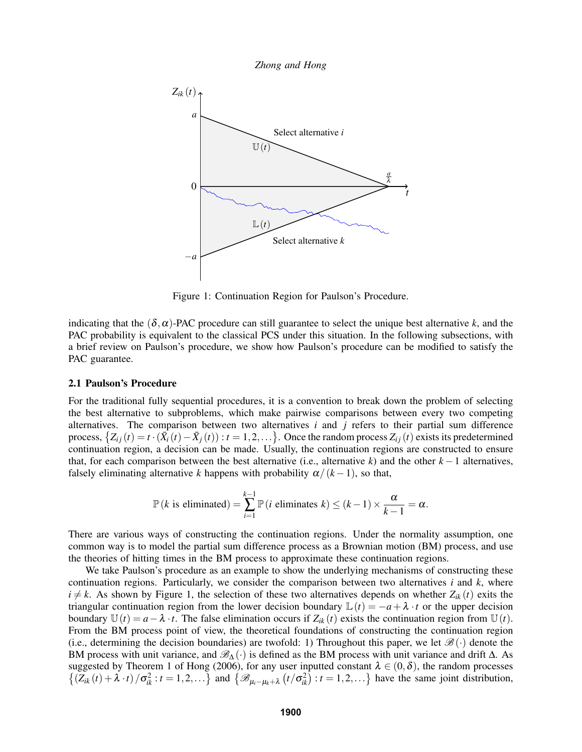*Zhong and Hong*



Figure 1: Continuation Region for Paulson's Procedure.

indicating that the  $(\delta, \alpha)$ -PAC procedure can still guarantee to select the unique best alternative k, and the PAC probability is equivalent to the classical PCS under this situation. In the following subsections, with a brief review on Paulson's procedure, we show how Paulson's procedure can be modified to satisfy the PAC guarantee.

#### 2.1 Paulson's Procedure

For the traditional fully sequential procedures, it is a convention to break down the problem of selecting the best alternative to subproblems, which make pairwise comparisons between every two competing alternatives. The comparison between two alternatives *i* and *j* refers to their partial sum difference process,  $\{Z_{ij}(t) = t \cdot (\bar{X}_i(t) - \bar{X}_j(t)) : t = 1, 2, ...\}$ . Once the random process  $Z_{ij}(t)$  exists its predetermined continuation region, a decision can be made. Usually, the continuation regions are constructed to ensure that, for each comparison between the best alternative (i.e., alternative *k*) and the other *k* −1 alternatives, falsely eliminating alternative *k* happens with probability  $\alpha/(k-1)$ , so that,

$$
\mathbb{P}(k \text{ is eliminated}) = \sum_{i=1}^{k-1} \mathbb{P}(i \text{ eliminates } k) \le (k-1) \times \frac{\alpha}{k-1} = \alpha.
$$

There are various ways of constructing the continuation regions. Under the normality assumption, one common way is to model the partial sum difference process as a Brownian motion (BM) process, and use the theories of hitting times in the BM process to approximate these continuation regions.

We take Paulson's procedure as an example to show the underlying mechanisms of constructing these continuation regions. Particularly, we consider the comparison between two alternatives *i* and *k*, where  $i \neq k$ . As shown by Figure 1, the selection of these two alternatives depends on whether  $Z_{ik}(t)$  exits the triangular continuation region from the lower decision boundary  $\mathbb{L}(t) = -a + \lambda \cdot t$  or the upper decision boundary  $\mathbb{U}(t) = a - \lambda \cdot t$ . The false elimination occurs if  $Z_{ik}(t)$  exists the continuation region from  $\mathbb{U}(t)$ . From the BM process point of view, the theoretical foundations of constructing the continuation region (i.e., determining the decision boundaries) are twofold: 1) Throughout this paper, we let  $\mathscr{B}(\cdot)$  denote the BM process with unit variance, and  $\mathscr{B}_{\Delta}(\cdot)$  is defined as the BM process with unit variance and drift  $\Delta$ . As suggested by Theorem 1 of Hong (2006), for any user inputted constant  $\lambda \in (0,\delta)$ , the random processes  $\{(Z_{ik}(t) + \lambda \cdot t) / \sigma_{ik}^2 : t = 1, 2, \dots\}$  and  $\{\mathcal{B}_{\mu_i - \mu_k + \lambda}(t/\sigma_{ik}^2) : t = 1, 2, \dots\}$  have the same joint distribution,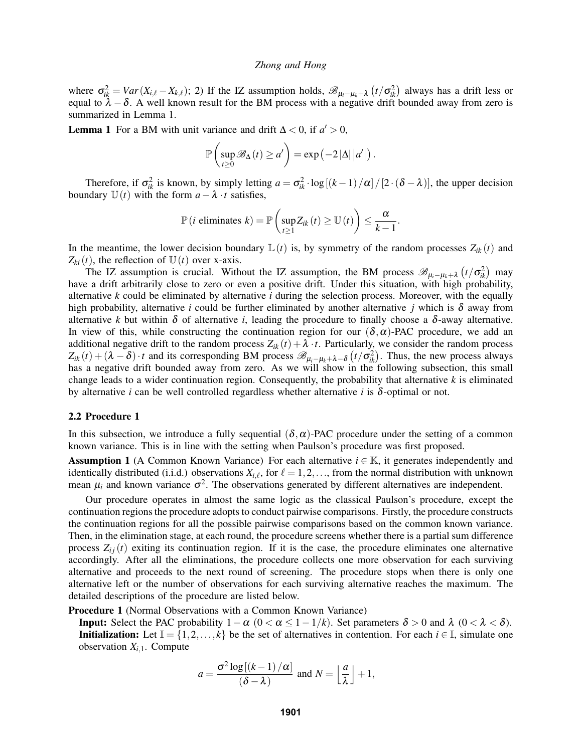where  $\sigma_{ik}^2 = Var(X_{i,\ell} - X_{k,\ell})$ ; 2) If the IZ assumption holds,  $\mathscr{B}_{\mu_i - \mu_k + \lambda} (t/\sigma_{ik}^2)$  always has a drift less or equal to  $\lambda - \delta$ . A well known result for the BM process with a negative drift bounded away from zero is summarized in Lemma 1.

**Lemma 1** For a BM with unit variance and drift  $\Delta < 0$ , if  $a' > 0$ ,

$$
\mathbb{P}\left(\sup_{t\geq 0} \mathscr{B}_{\Delta}(t) \geq a'\right) = \exp\left(-2|\Delta| |a'|\right).
$$

Therefore, if  $\sigma_{ik}^2$  is known, by simply letting  $a = \sigma_{ik}^2 \cdot \log[(k-1)/\alpha]/[2 \cdot (\delta - \lambda)]$ , the upper decision boundary  $\mathbb{U}(t)$  with the form  $a - \lambda \cdot t$  satisfies,

$$
\mathbb{P}\left(i \text{ eliminates } k\right) = \mathbb{P}\left(\sup_{t\geq 1} Z_{ik}(t) \geq \mathbb{U}\left(t\right)\right) \leq \frac{\alpha}{k-1}.
$$

In the meantime, the lower decision boundary  $\mathbb{L}(t)$  is, by symmetry of the random processes  $Z_{ik}(t)$  and  $Z_{ki}(t)$ , the reflection of  $U(t)$  over x-axis.

The IZ assumption is crucial. Without the IZ assumption, the BM process  $\mathscr{B}_{\mu_i-\mu_k+\lambda}(t/\sigma_{ik}^2)$  may have a drift arbitrarily close to zero or even a positive drift. Under this situation, with high probability, alternative *k* could be eliminated by alternative *i* during the selection process. Moreover, with the equally high probability, alternative *i* could be further eliminated by another alternative *j* which is  $\delta$  away from alternative *k* but within δ of alternative *i*, leading the procedure to finally choose a δ-away alternative. In view of this, while constructing the continuation region for our  $(\delta, \alpha)$ -PAC procedure, we add an additional negative drift to the random process  $Z_{ik}(t) + \lambda \cdot t$ . Particularly, we consider the random process  $Z_{ik}(t) + (\lambda - \delta) \cdot t$  and its corresponding BM process  $\mathscr{B}_{\mu_i - \mu_k + \lambda - \delta}(t/\sigma_{ik}^2)$ . Thus, the new process always has a negative drift bounded away from zero. As we will show in the following subsection, this small change leads to a wider continuation region. Consequently, the probability that alternative *k* is eliminated by alternative *i* can be well controlled regardless whether alternative *i* is δ-optimal or not.

### 2.2 Procedure 1

In this subsection, we introduce a fully sequential  $(\delta, \alpha)$ -PAC procedure under the setting of a common known variance. This is in line with the setting when Paulson's procedure was first proposed.

**Assumption 1** (A Common Known Variance) For each alternative  $i \in \mathbb{K}$ , it generates independently and identically distributed (i.i.d.) observations  $X_{i,\ell}$ , for  $\ell = 1,2,...$ , from the normal distribution with unknown mean  $\mu_i$  and known variance  $\sigma^2$ . The observations generated by different alternatives are independent.

Our procedure operates in almost the same logic as the classical Paulson's procedure, except the continuation regions the procedure adopts to conduct pairwise comparisons. Firstly, the procedure constructs the continuation regions for all the possible pairwise comparisons based on the common known variance. Then, in the elimination stage, at each round, the procedure screens whether there is a partial sum difference process  $Z_{ii}(t)$  exiting its continuation region. If it is the case, the procedure eliminates one alternative accordingly. After all the eliminations, the procedure collects one more observation for each surviving alternative and proceeds to the next round of screening. The procedure stops when there is only one alternative left or the number of observations for each surviving alternative reaches the maximum. The detailed descriptions of the procedure are listed below.

Procedure 1 (Normal Observations with a Common Known Variance)

**Input:** Select the PAC probability  $1 - \alpha$  ( $0 < \alpha \leq 1 - 1/k$ ). Set parameters  $\delta > 0$  and  $\lambda$  ( $0 < \lambda < \delta$ ). **Initialization:** Let  $\mathbb{I} = \{1, 2, ..., k\}$  be the set of alternatives in contention. For each  $i \in \mathbb{I}$ , simulate one observation  $X_{i,1}$ . Compute

$$
a = \frac{\sigma^2 \log[(k-1)/\alpha]}{(\delta - \lambda)}
$$
 and 
$$
N = \left\lfloor \frac{a}{\lambda} \right\rfloor + 1,
$$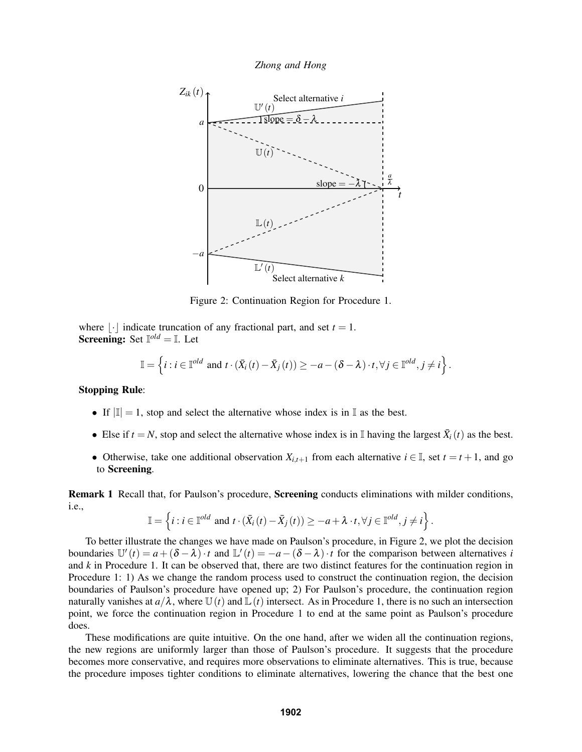*Zhong and Hong*



Figure 2: Continuation Region for Procedure 1.

where  $|\cdot|$  indicate truncation of any fractional part, and set  $t = 1$ . **Screening:** Set  $\mathbb{I}^{\text{old}} = \mathbb{I}$ . Let

$$
\mathbb{I}=\left\{i:i\in\mathbb{I}^{old}\text{ and }t\cdot(\bar{X}_i(t)-\bar{X}_j(t))\geq-a-(\delta-\lambda)\cdot t,\forall j\in\mathbb{I}^{old},j\neq i\right\}.
$$

Stopping Rule:

- If  $|\mathbb{I}| = 1$ , stop and select the alternative whose index is in  $\mathbb{I}$  as the best.
- Else if  $t = N$ , stop and select the alternative whose index is in I having the largest  $\bar{X}_i(t)$  as the best.
- Otherwise, take one additional observation  $X_{i,t+1}$  from each alternative  $i \in \mathbb{I}$ , set  $t = t + 1$ , and go to Screening.

Remark 1 Recall that, for Paulson's procedure, Screening conducts eliminations with milder conditions, i.e.,

$$
\mathbb{I} = \left\{ i : i \in \mathbb{I}^{old} \text{ and } t \cdot (\bar{X}_i(t) - \bar{X}_j(t)) \ge -a + \lambda \cdot t, \forall j \in \mathbb{I}^{old}, j \ne i \right\}.
$$

To better illustrate the changes we have made on Paulson's procedure, in Figure 2, we plot the decision boundaries  $\mathbb{U}'(t) = a + (\delta - \lambda) \cdot t$  and  $\mathbb{L}'(t) = -a - (\delta - \lambda) \cdot t$  for the comparison between alternatives *i* and *k* in Procedure 1. It can be observed that, there are two distinct features for the continuation region in Procedure 1: 1) As we change the random process used to construct the continuation region, the decision boundaries of Paulson's procedure have opened up; 2) For Paulson's procedure, the continuation region naturally vanishes at  $a/\lambda$ , where  $\mathbb{U}(t)$  and  $\mathbb{L}(t)$  intersect. As in Procedure 1, there is no such an intersection point, we force the continuation region in Procedure 1 to end at the same point as Paulson's procedure does.

These modifications are quite intuitive. On the one hand, after we widen all the continuation regions, the new regions are uniformly larger than those of Paulson's procedure. It suggests that the procedure becomes more conservative, and requires more observations to eliminate alternatives. This is true, because the procedure imposes tighter conditions to eliminate alternatives, lowering the chance that the best one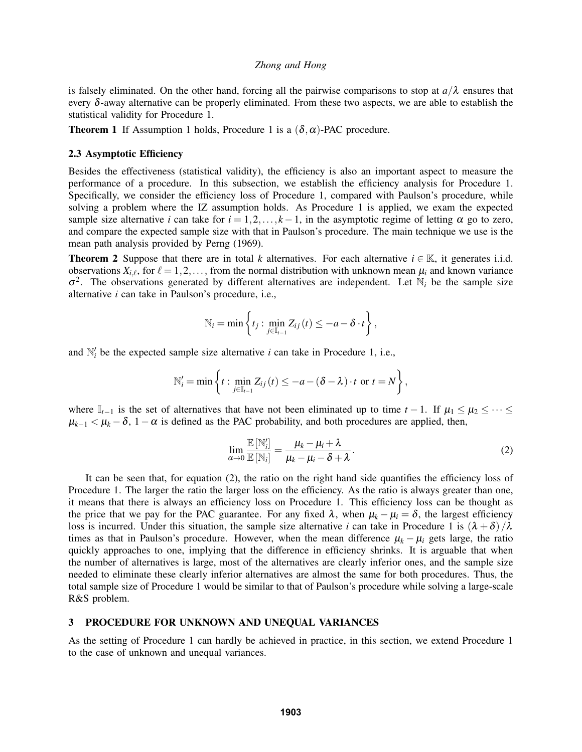is falsely eliminated. On the other hand, forcing all the pairwise comparisons to stop at  $a/\lambda$  ensures that every  $\delta$ -away alternative can be properly eliminated. From these two aspects, we are able to establish the statistical validity for Procedure 1.

**Theorem 1** If Assumption 1 holds, Procedure 1 is a  $(\delta, \alpha)$ -PAC procedure.

### 2.3 Asymptotic Efficiency

Besides the effectiveness (statistical validity), the efficiency is also an important aspect to measure the performance of a procedure. In this subsection, we establish the efficiency analysis for Procedure 1. Specifically, we consider the efficiency loss of Procedure 1, compared with Paulson's procedure, while solving a problem where the IZ assumption holds. As Procedure 1 is applied, we exam the expected sample size alternative *i* can take for  $i = 1, 2, ..., k - 1$ , in the asymptotic regime of letting  $\alpha$  go to zero, and compare the expected sample size with that in Paulson's procedure. The main technique we use is the mean path analysis provided by Perng (1969).

**Theorem 2** Suppose that there are in total *k* alternatives. For each alternative  $i \in \mathbb{K}$ , it generates i.i.d. observations  $X_{i,\ell}$ , for  $\ell = 1,2,\ldots$ , from the normal distribution with unknown mean  $\mu_i$  and known variance  $\sigma^2$ . The observations generated by different alternatives are independent. Let  $\mathbb{N}_i$  be the sample size alternative *i* can take in Paulson's procedure, i.e.,

$$
\mathbb{N}_{i} = \min \left\{ t_{j} : \min_{j \in \mathbb{I}_{t-1}} Z_{ij}(t) \leq -a - \delta \cdot t \right\},\,
$$

and  $\mathbb{N}'_i$  be the expected sample size alternative *i* can take in Procedure 1, i.e.,

$$
\mathbb{N}'_i = \min \left\{ t : \min_{j \in \mathbb{I}_{t-1}} Z_{ij}(t) \leq -a - (\delta - \lambda) \cdot t \text{ or } t = N \right\},\
$$

where  $\mathbb{I}_{t-1}$  is the set of alternatives that have not been eliminated up to time  $t-1$ . If  $\mu_1 \leq \mu_2 \leq \cdots \leq$  $\mu_{k-1} < \mu_k - \delta$ , 1 −  $\alpha$  is defined as the PAC probability, and both procedures are applied, then,

$$
\lim_{\alpha \to 0} \frac{\mathbb{E}\left[\mathbb{N}'_i\right]}{\mathbb{E}\left[\mathbb{N}_i\right]} = \frac{\mu_k - \mu_i + \lambda}{\mu_k - \mu_i - \delta + \lambda}.
$$
\n(2)

It can be seen that, for equation (2), the ratio on the right hand side quantifies the efficiency loss of Procedure 1. The larger the ratio the larger loss on the efficiency. As the ratio is always greater than one, it means that there is always an efficiency loss on Procedure 1. This efficiency loss can be thought as the price that we pay for the PAC guarantee. For any fixed  $\lambda$ , when  $\mu_k - \mu_i = \delta$ , the largest efficiency loss is incurred. Under this situation, the sample size alternative *i* can take in Procedure 1 is  $(\lambda + \delta)/\lambda$ times as that in Paulson's procedure. However, when the mean difference  $\mu_k - \mu_i$  gets large, the ratio quickly approaches to one, implying that the difference in efficiency shrinks. It is arguable that when the number of alternatives is large, most of the alternatives are clearly inferior ones, and the sample size needed to eliminate these clearly inferior alternatives are almost the same for both procedures. Thus, the total sample size of Procedure 1 would be similar to that of Paulson's procedure while solving a large-scale R&S problem.

## 3 PROCEDURE FOR UNKNOWN AND UNEQUAL VARIANCES

As the setting of Procedure 1 can hardly be achieved in practice, in this section, we extend Procedure 1 to the case of unknown and unequal variances.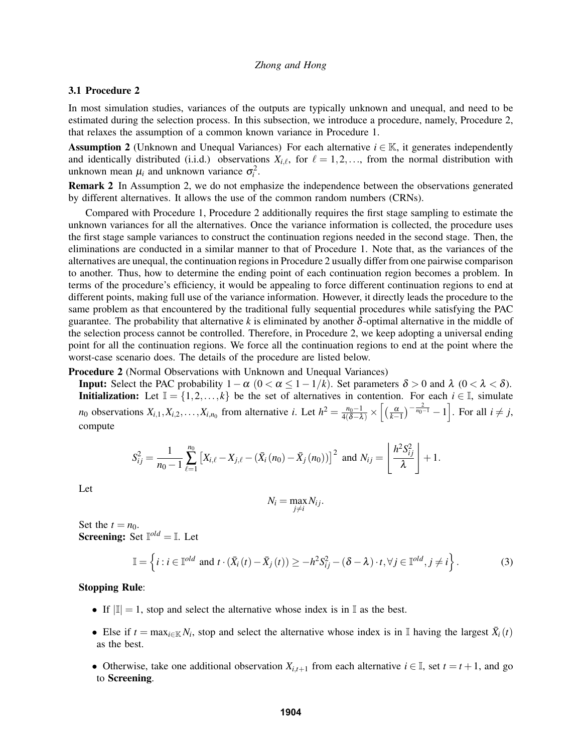## 3.1 Procedure 2

In most simulation studies, variances of the outputs are typically unknown and unequal, and need to be estimated during the selection process. In this subsection, we introduce a procedure, namely, Procedure 2, that relaxes the assumption of a common known variance in Procedure 1.

**Assumption 2** (Unknown and Unequal Variances) For each alternative  $i \in \mathbb{K}$ , it generates independently and identically distributed (i.i.d.) observations  $X_{i,\ell}$ , for  $\ell = 1,2,...$ , from the normal distribution with unknown mean  $\mu_i$  and unknown variance  $\sigma_i^2$ .

Remark 2 In Assumption 2, we do not emphasize the independence between the observations generated by different alternatives. It allows the use of the common random numbers (CRNs).

Compared with Procedure 1, Procedure 2 additionally requires the first stage sampling to estimate the unknown variances for all the alternatives. Once the variance information is collected, the procedure uses the first stage sample variances to construct the continuation regions needed in the second stage. Then, the eliminations are conducted in a similar manner to that of Procedure 1. Note that, as the variances of the alternatives are unequal, the continuation regions in Procedure 2 usually differ from one pairwise comparison to another. Thus, how to determine the ending point of each continuation region becomes a problem. In terms of the procedure's efficiency, it would be appealing to force different continuation regions to end at different points, making full use of the variance information. However, it directly leads the procedure to the same problem as that encountered by the traditional fully sequential procedures while satisfying the PAC guarantee. The probability that alternative k is eliminated by another  $\delta$ -optimal alternative in the middle of the selection process cannot be controlled. Therefore, in Procedure 2, we keep adopting a universal ending point for all the continuation regions. We force all the continuation regions to end at the point where the worst-case scenario does. The details of the procedure are listed below.

Procedure 2 (Normal Observations with Unknown and Unequal Variances)

**Input:** Select the PAC probability  $1 - \alpha$  ( $0 < \alpha \leq 1 - 1/k$ ). Set parameters  $\delta > 0$  and  $\lambda$  ( $0 < \lambda < \delta$ ). **Initialization:** Let  $\mathbb{I} = \{1, 2, ..., k\}$  be the set of alternatives in contention. For each  $i \in \mathbb{I}$ , simulate *n*<sup>0</sup> observations  $X_{i,1}, X_{i,2}, \ldots, X_{i,n_0}$  from alternative *i*. Let  $h^2 = \frac{n_0 - 1}{4(\delta - \lambda)} \times \left[ \left( \frac{\alpha}{k-1} \right)^{-\frac{2}{n_0 - 1}} - 1 \right]$ . For all  $i \neq j$ , compute

$$
S_{ij}^{2} = \frac{1}{n_{0}-1}\sum_{\ell=1}^{n_{0}}\left[X_{i,\ell}-X_{j,\ell}-(\bar{X}_{i}(n_{0})-\bar{X}_{j}(n_{0}))\right]^{2} \text{ and } N_{ij} = \left\lfloor \frac{h^{2}S_{ij}^{2}}{\lambda} \right\rfloor + 1.
$$

Let

$$
N_i = \max_{j \neq i} N_{ij}.
$$

Set the  $t = n_0$ . **Screening:** Set  $\mathbb{I}^{\text{old}} = \mathbb{I}$ . Let

$$
\mathbb{I} = \left\{ i : i \in \mathbb{I}^{old} \text{ and } t \cdot (\bar{X}_i(t) - \bar{X}_j(t)) \ge -h^2 S_{ij}^2 - (\delta - \lambda) \cdot t, \forall j \in \mathbb{I}^{old}, j \ne i \right\}.
$$
 (3)

# Stopping Rule:

- If  $|\mathbb{I}| = 1$ , stop and select the alternative whose index is in  $\mathbb{I}$  as the best.
- Else if  $t = \max_{i \in \mathbb{K}} N_i$ , stop and select the alternative whose index is in I having the largest  $\bar{X}_i(t)$ as the best.
- Otherwise, take one additional observation  $X_{i,t+1}$  from each alternative  $i \in \mathbb{I}$ , set  $t = t + 1$ , and go to Screening.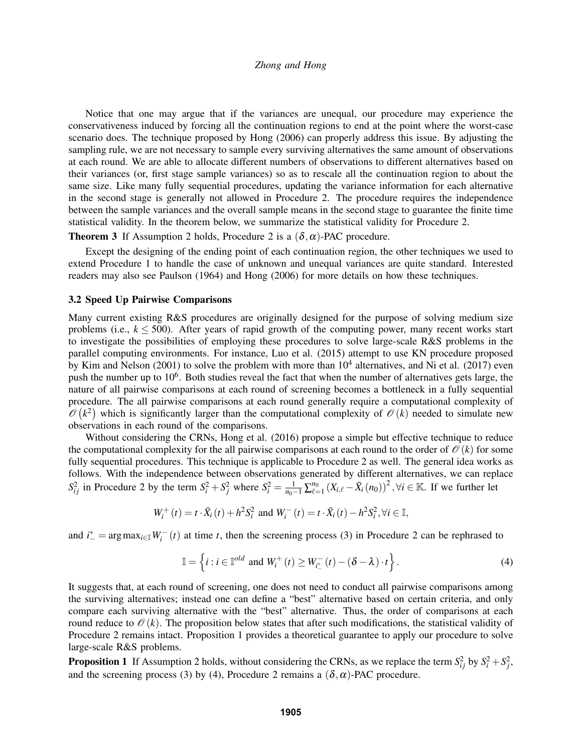Notice that one may argue that if the variances are unequal, our procedure may experience the conservativeness induced by forcing all the continuation regions to end at the point where the worst-case scenario does. The technique proposed by Hong (2006) can properly address this issue. By adjusting the sampling rule, we are not necessary to sample every surviving alternatives the same amount of observations at each round. We are able to allocate different numbers of observations to different alternatives based on their variances (or, first stage sample variances) so as to rescale all the continuation region to about the same size. Like many fully sequential procedures, updating the variance information for each alternative in the second stage is generally not allowed in Procedure 2. The procedure requires the independence between the sample variances and the overall sample means in the second stage to guarantee the finite time statistical validity. In the theorem below, we summarize the statistical validity for Procedure 2.

**Theorem 3** If Assumption 2 holds, Procedure 2 is a  $(\delta, \alpha)$ -PAC procedure.

Except the designing of the ending point of each continuation region, the other techniques we used to extend Procedure 1 to handle the case of unknown and unequal variances are quite standard. Interested readers may also see Paulson (1964) and Hong (2006) for more details on how these techniques.

### 3.2 Speed Up Pairwise Comparisons

Many current existing R&S procedures are originally designed for the purpose of solving medium size problems (i.e.,  $k \le 500$ ). After years of rapid growth of the computing power, many recent works start to investigate the possibilities of employing these procedures to solve large-scale R&S problems in the parallel computing environments. For instance, Luo et al. (2015) attempt to use KN procedure proposed by Kim and Nelson (2001) to solve the problem with more than  $10^4$  alternatives, and Ni et al. (2017) even push the number up to  $10^6$ . Both studies reveal the fact that when the number of alternatives gets large, the nature of all pairwise comparisons at each round of screening becomes a bottleneck in a fully sequential procedure. The all pairwise comparisons at each round generally require a computational complexity of  $\mathcal{O}(k^2)$  which is significantly larger than the computational complexity of  $\mathcal{O}(k)$  needed to simulate new observations in each round of the comparisons.

Without considering the CRNs, Hong et al. (2016) propose a simple but effective technique to reduce the computational complexity for the all pairwise comparisons at each round to the order of  $\mathcal{O}(k)$  for some fully sequential procedures. This technique is applicable to Procedure 2 as well. The general idea works as follows. With the independence between observations generated by different alternatives, we can replace  $S_{ij}^2$  in Procedure 2 by the term  $S_i^2 + S_j^2$  where  $S_i^2 = \frac{1}{n_0 - 1} \sum_{\ell=1}^{n_0} (X_{i,\ell} - \bar{X}_i(n_0))^2$ ,  $\forall i \in \mathbb{K}$ . If we further let

$$
W_i^+(t) = t \cdot \bar{X}_i(t) + h^2 S_i^2 \text{ and } W_i^-(t) = t \cdot \bar{X}_i(t) - h^2 S_i^2, \forall i \in \mathbb{I},
$$

and  $i^*$  = argmax<sub>*i*∈I</sub> $W_i^-$  (*t*) at time *t*, then the screening process (3) in Procedure 2 can be rephrased to

$$
\mathbb{I} = \left\{ i : i \in \mathbb{I}^{old} \text{ and } W_i^+(t) \ge W_{i^*_{-}}(t) - (\delta - \lambda) \cdot t \right\}.
$$
 (4)

It suggests that, at each round of screening, one does not need to conduct all pairwise comparisons among the surviving alternatives; instead one can define a "best" alternative based on certain criteria, and only compare each surviving alternative with the "best" alternative. Thus, the order of comparisons at each round reduce to  $\mathcal{O}(k)$ . The proposition below states that after such modifications, the statistical validity of Procedure 2 remains intact. Proposition 1 provides a theoretical guarantee to apply our procedure to solve large-scale R&S problems.

**Proposition 1** If Assumption 2 holds, without considering the CRNs, as we replace the term  $S_{ij}^2$  by  $S_i^2 + S_j^2$ , and the screening process (3) by (4), Procedure 2 remains a  $(\delta, \alpha)$ -PAC procedure.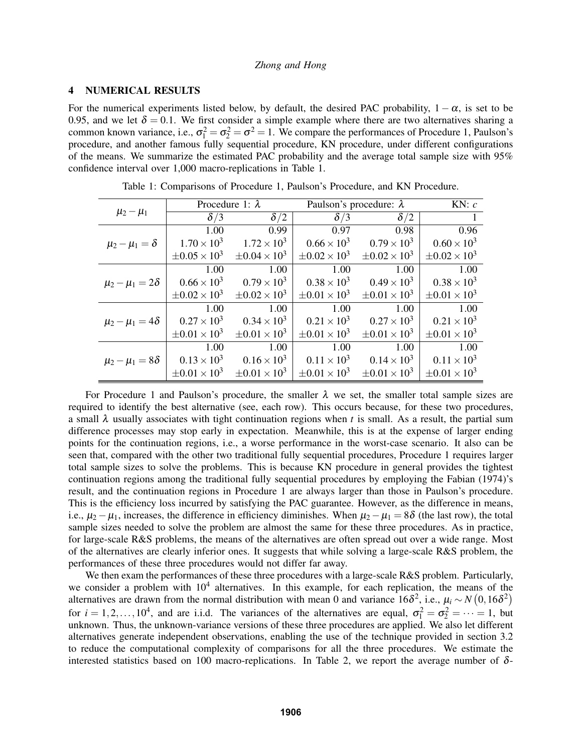### 4 NUMERICAL RESULTS

For the numerical experiments listed below, by default, the desired PAC probability,  $1 - \alpha$ , is set to be 0.95, and we let  $\delta = 0.1$ . We first consider a simple example where there are two alternatives sharing a common known variance, i.e.,  $\sigma_1^2 = \sigma_2^2 = \sigma^2 = 1$ . We compare the performances of Procedure 1, Paulson's procedure, and another famous fully sequential procedure, KN procedure, under different configurations of the means. We summarize the estimated PAC probability and the average total sample size with 95% confidence interval over 1,000 macro-replications in Table 1.

| $\mu_2 - \mu_1$           | Procedure 1: $\lambda$ |                                       | Paulson's procedure: $\lambda$ |                                               | KN: $c$                                                                                |
|---------------------------|------------------------|---------------------------------------|--------------------------------|-----------------------------------------------|----------------------------------------------------------------------------------------|
|                           | $\delta/3$             | $\delta/2$                            | $\delta/3$                     | $\delta/2$                                    | $\begin{array}{\begin{array}{\small \begin{array}{\small \end{array}}}} 1 \end{array}$ |
| $\mu_2-\mu_1=\delta$      | 1.00                   | 0.99                                  | 0.97                           | 0.98                                          | 0.96                                                                                   |
|                           |                        | $1.70 \times 10^3$ $1.72 \times 10^3$ |                                | $0.66 \times 10^3$ $0.79 \times 10^3$         | $0.60 \times 10^{3}$                                                                   |
|                           | $\pm 0.05 \times 10^3$ | $\pm 0.04 \times 10^3$                |                                | $\pm 0.02 \times 10^3$ $\pm 0.02 \times 10^3$ | $\pm 0.02 \times 10^3$                                                                 |
| $\mu_2-\mu_1=2\delta$     | 1.00                   | 1.00                                  | 1.00                           | 1.00                                          | 1.00                                                                                   |
|                           | $0.66 \times 10^{3}$   | $0.79 \times 10^{3}$                  |                                | $0.38 \times 10^3$ $0.49 \times 10^3$         | $0.38 \times 10^{3}$                                                                   |
|                           | $\pm 0.02 \times 10^3$ | $\pm 0.02 \times 10^3$                | $\pm 0.01 \times 10^3$         | $\pm 0.01 \times 10^3$                        | $\pm 0.01 \times 10^3$                                                                 |
| $\mu_2 - \mu_1 = 4\delta$ | 1.00                   | 1.00                                  | 1.00                           | 1.00                                          | 1.00                                                                                   |
|                           | $0.27 \times 10^{3}$   | $0.34 \times 10^3$                    | $0.21 \times 10^{3}$           | $0.27 \times 10^3$                            | $0.21 \times 10^{3}$                                                                   |
|                           | $\pm 0.01 \times 10^3$ | $\pm 0.01 \times 10^3$                | $\pm 0.01 \times 10^3$         | $\pm 0.01 \times 10^3$                        | $\pm 0.01 \times 10^3$                                                                 |
| $\mu_2-\mu_1=8\delta$     | 1.00                   | 1.00                                  | 1.00                           | 1.00                                          | 1.00                                                                                   |
|                           | $0.13 \times 10^{3}$   | $0.16 \times 10^{3}$                  | $0.11 \times 10^{3}$           | $0.14 \times 10^3$                            | $0.11 \times 10^{3}$                                                                   |
|                           | $\pm 0.01 \times 10^3$ | $\pm 0.01 \times 10^3$                | $\pm 0.01 \times 10^3$         | $\pm 0.01 \times 10^3$                        | $\pm 0.01 \times 10^3$                                                                 |

Table 1: Comparisons of Procedure 1, Paulson's Procedure, and KN Procedure.

For Procedure 1 and Paulson's procedure, the smaller  $\lambda$  we set, the smaller total sample sizes are required to identify the best alternative (see, each row). This occurs because, for these two procedures, a small  $\lambda$  usually associates with tight continuation regions when *t* is small. As a result, the partial sum difference processes may stop early in expectation. Meanwhile, this is at the expense of larger ending points for the continuation regions, i.e., a worse performance in the worst-case scenario. It also can be seen that, compared with the other two traditional fully sequential procedures, Procedure 1 requires larger total sample sizes to solve the problems. This is because KN procedure in general provides the tightest continuation regions among the traditional fully sequential procedures by employing the Fabian (1974)'s result, and the continuation regions in Procedure 1 are always larger than those in Paulson's procedure. This is the efficiency loss incurred by satisfying the PAC guarantee. However, as the difference in means, i.e.,  $\mu_2 - \mu_1$ , increases, the difference in efficiency diminishes. When  $\mu_2 - \mu_1 = 8\delta$  (the last row), the total sample sizes needed to solve the problem are almost the same for these three procedures. As in practice, for large-scale R&S problems, the means of the alternatives are often spread out over a wide range. Most of the alternatives are clearly inferior ones. It suggests that while solving a large-scale R&S problem, the performances of these three procedures would not differ far away.

We then exam the performances of these three procedures with a large-scale R&S problem. Particularly, we consider a problem with  $10<sup>4</sup>$  alternatives. In this example, for each replication, the means of the alternatives are drawn from the normal distribution with mean 0 and variance  $16\delta^2$ , i.e.,  $\mu_i \sim N(0, 16\delta^2)$ for  $i = 1, 2, ..., 10^4$ , and are i.i.d. The variances of the alternatives are equal,  $\sigma_1^2 = \sigma_2^2 = \cdots = 1$ , but unknown. Thus, the unknown-variance versions of these three procedures are applied. We also let different alternatives generate independent observations, enabling the use of the technique provided in section 3.2 to reduce the computational complexity of comparisons for all the three procedures. We estimate the interested statistics based on 100 macro-replications. In Table 2, we report the average number of  $\delta$ -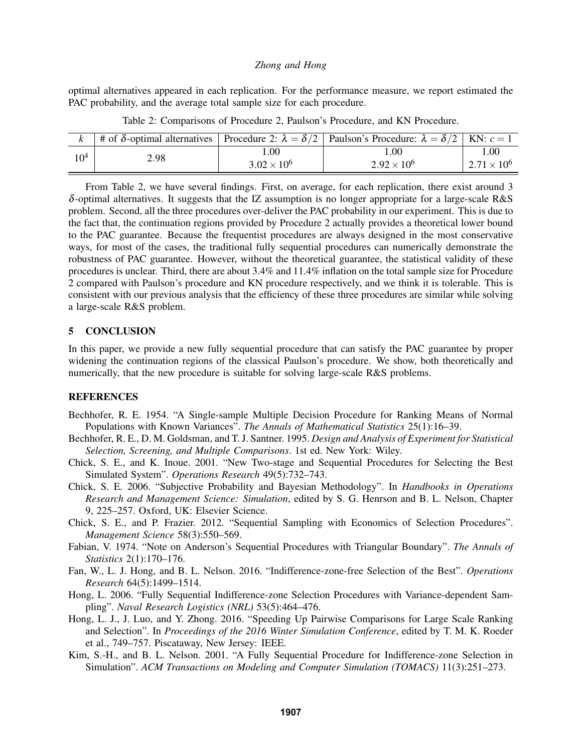optimal alternatives appeared in each replication. For the performance measure, we report estimated the PAC probability, and the average total sample size for each procedure.

|          |      |                      | $\#$ of $\delta$ -optimal alternatives   Procedure 2: $\lambda = \delta/2$   Paulson's Procedure: $\lambda = \delta/2$   KN: $c = 1$ |                               |
|----------|------|----------------------|--------------------------------------------------------------------------------------------------------------------------------------|-------------------------------|
| $10^{4}$ | 2.98 | .00                  | .00.                                                                                                                                 | 00.                           |
|          |      | $3.02 \times 10^{6}$ | $2.92 \times 10^{6}$                                                                                                                 | 2.71 $\times$ 10 <sup>6</sup> |

Table 2: Comparisons of Procedure 2, Paulson's Procedure, and KN Procedure.

From Table 2, we have several findings. First, on average, for each replication, there exist around 3 δ-optimal alternatives. It suggests that the IZ assumption is no longer appropriate for a large-scale R&S problem. Second, all the three procedures over-deliver the PAC probability in our experiment. This is due to the fact that, the continuation regions provided by Procedure 2 actually provides a theoretical lower bound to the PAC guarantee. Because the frequentist procedures are always designed in the most conservative ways, for most of the cases, the traditional fully sequential procedures can numerically demonstrate the robustness of PAC guarantee. However, without the theoretical guarantee, the statistical validity of these procedures is unclear. Third, there are about 3.4% and 11.4% inflation on the total sample size for Procedure 2 compared with Paulson's procedure and KN procedure respectively, and we think it is tolerable. This is consistent with our previous analysis that the efficiency of these three procedures are similar while solving a large-scale R&S problem.

### 5 CONCLUSION

In this paper, we provide a new fully sequential procedure that can satisfy the PAC guarantee by proper widening the continuation regions of the classical Paulson's procedure. We show, both theoretically and numerically, that the new procedure is suitable for solving large-scale R&S problems.

# **REFERENCES**

- Bechhofer, R. E. 1954. "A Single-sample Multiple Decision Procedure for Ranking Means of Normal Populations with Known Variances". *The Annals of Mathematical Statistics* 25(1):16–39.
- Bechhofer, R. E., D. M. Goldsman, and T. J. Santner. 1995. *Design and Analysis of Experiment for Statistical Selection, Screening, and Multiple Comparisons*. 1st ed. New York: Wiley.
- Chick, S. E., and K. Inoue. 2001. "New Two-stage and Sequential Procedures for Selecting the Best Simulated System". *Operations Research* 49(5):732–743.
- Chick, S. E. 2006. "Subjective Probability and Bayesian Methodology". In *Handbooks in Operations Research and Management Science: Simulation*, edited by S. G. Henrson and B. L. Nelson, Chapter 9, 225–257. Oxford, UK: Elsevier Science.
- Chick, S. E., and P. Frazier. 2012. "Sequential Sampling with Economics of Selection Procedures". *Management Science* 58(3):550–569.
- Fabian, V. 1974. "Note on Anderson's Sequential Procedures with Triangular Boundary". *The Annals of Statistics* 2(1):170–176.
- Fan, W., L. J. Hong, and B. L. Nelson. 2016. "Indifference-zone-free Selection of the Best". *Operations Research* 64(5):1499–1514.
- Hong, L. 2006. "Fully Sequential Indifference-zone Selection Procedures with Variance-dependent Sampling". *Naval Research Logistics (NRL)* 53(5):464–476.
- Hong, L. J., J. Luo, and Y. Zhong. 2016. "Speeding Up Pairwise Comparisons for Large Scale Ranking and Selection". In *Proceedings of the 2016 Winter Simulation Conference*, edited by T. M. K. Roeder et al., 749–757. Piscataway, New Jersey: IEEE.
- Kim, S.-H., and B. L. Nelson. 2001. "A Fully Sequential Procedure for Indifference-zone Selection in Simulation". *ACM Transactions on Modeling and Computer Simulation (TOMACS)* 11(3):251–273.